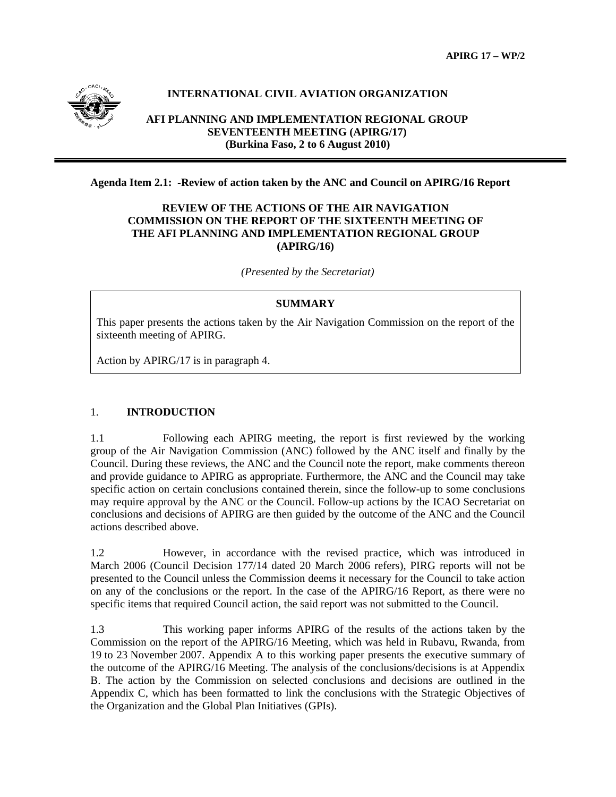

# **INTERNATIONAL CIVIL AVIATION ORGANIZATION**

## **AFI PLANNING AND IMPLEMENTATION REGIONAL GROUP SEVENTEENTH MEETING (APIRG/17) (Burkina Faso, 2 to 6 August 2010)**

## **Agenda Item 2.1: -Review of action taken by the ANC and Council on APIRG/16 Report**

## **REVIEW OF THE ACTIONS OF THE AIR NAVIGATION COMMISSION ON THE REPORT OF THE SIXTEENTH MEETING OF THE AFI PLANNING AND IMPLEMENTATION REGIONAL GROUP (APIRG/16)**

*(Presented by the Secretariat)* 

## **SUMMARY**

This paper presents the actions taken by the Air Navigation Commission on the report of the sixteenth meeting of APIRG.

Action by APIRG/17 is in paragraph 4.

## 1. **INTRODUCTION**

1.1 Following each APIRG meeting, the report is first reviewed by the working group of the Air Navigation Commission (ANC) followed by the ANC itself and finally by the Council. During these reviews, the ANC and the Council note the report, make comments thereon and provide guidance to APIRG as appropriate. Furthermore, the ANC and the Council may take specific action on certain conclusions contained therein, since the follow-up to some conclusions may require approval by the ANC or the Council. Follow-up actions by the ICAO Secretariat on conclusions and decisions of APIRG are then guided by the outcome of the ANC and the Council actions described above.

1.2 However, in accordance with the revised practice, which was introduced in March 2006 (Council Decision 177/14 dated 20 March 2006 refers), PIRG reports will not be presented to the Council unless the Commission deems it necessary for the Council to take action on any of the conclusions or the report. In the case of the APIRG/16 Report, as there were no specific items that required Council action, the said report was not submitted to the Council.

1.3 This working paper informs APIRG of the results of the actions taken by the Commission on the report of the APIRG/16 Meeting, which was held in Rubavu, Rwanda, from 19 to 23 November 2007. Appendix A to this working paper presents the executive summary of the outcome of the APIRG/16 Meeting. The analysis of the conclusions/decisions is at Appendix B. The action by the Commission on selected conclusions and decisions are outlined in the Appendix C, which has been formatted to link the conclusions with the Strategic Objectives of the Organization and the Global Plan Initiatives (GPIs).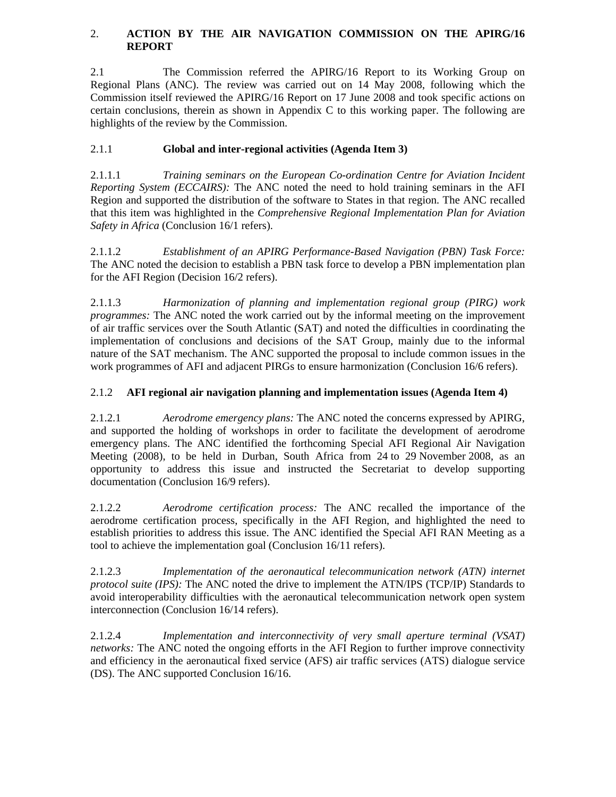## 2. **ACTION BY THE AIR NAVIGATION COMMISSION ON THE APIRG/16 REPORT**

2.1 The Commission referred the APIRG/16 Report to its Working Group on Regional Plans (ANC). The review was carried out on 14 May 2008, following which the Commission itself reviewed the APIRG/16 Report on 17 June 2008 and took specific actions on certain conclusions, therein as shown in Appendix C to this working paper. The following are highlights of the review by the Commission.

# 2.1.1 **Global and inter-regional activities (Agenda Item 3)**

2.1.1.1 *Training seminars on the European Co-ordination Centre for Aviation Incident Reporting System (ECCAIRS):* The ANC noted the need to hold training seminars in the AFI Region and supported the distribution of the software to States in that region. The ANC recalled that this item was highlighted in the *Comprehensive Regional Implementation Plan for Aviation Safety in Africa* (Conclusion 16/1 refers).

2.1.1.2 *Establishment of an APIRG Performance-Based Navigation (PBN) Task Force:*  The ANC noted the decision to establish a PBN task force to develop a PBN implementation plan for the AFI Region (Decision 16/2 refers).

2.1.1.3 *Harmonization of planning and implementation regional group (PIRG) work programmes:* The ANC noted the work carried out by the informal meeting on the improvement of air traffic services over the South Atlantic (SAT) and noted the difficulties in coordinating the implementation of conclusions and decisions of the SAT Group, mainly due to the informal nature of the SAT mechanism. The ANC supported the proposal to include common issues in the work programmes of AFI and adjacent PIRGs to ensure harmonization (Conclusion 16/6 refers).

# 2.1.2 **AFI regional air navigation planning and implementation issues (Agenda Item 4)**

2.1.2.1 *Aerodrome emergency plans:* The ANC noted the concerns expressed by APIRG, and supported the holding of workshops in order to facilitate the development of aerodrome emergency plans. The ANC identified the forthcoming Special AFI Regional Air Navigation Meeting (2008), to be held in Durban, South Africa from 24 to 29 November 2008, as an opportunity to address this issue and instructed the Secretariat to develop supporting documentation (Conclusion 16/9 refers).

2.1.2.2 *Aerodrome certification process:* The ANC recalled the importance of the aerodrome certification process, specifically in the AFI Region, and highlighted the need to establish priorities to address this issue. The ANC identified the Special AFI RAN Meeting as a tool to achieve the implementation goal (Conclusion 16/11 refers).

2.1.2.3 *Implementation of the aeronautical telecommunication network (ATN) internet protocol suite (IPS):* The ANC noted the drive to implement the ATN/IPS (TCP/IP) Standards to avoid interoperability difficulties with the aeronautical telecommunication network open system interconnection (Conclusion 16/14 refers).

2.1.2.4 *Implementation and interconnectivity of very small aperture terminal (VSAT) networks:* The ANC noted the ongoing efforts in the AFI Region to further improve connectivity and efficiency in the aeronautical fixed service (AFS) air traffic services (ATS) dialogue service (DS). The ANC supported Conclusion 16/16.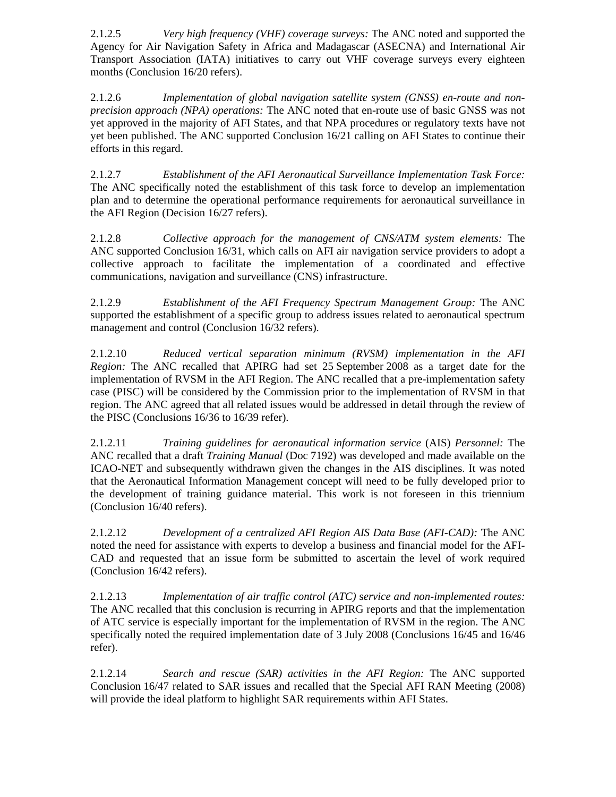2.1.2.5 *Very high frequency (VHF) coverage surveys:* The ANC noted and supported the Agency for Air Navigation Safety in Africa and Madagascar (ASECNA) and International Air Transport Association (IATA) initiatives to carry out VHF coverage surveys every eighteen months (Conclusion 16/20 refers).

2.1.2.6 *Implementation of global navigation satellite system (GNSS) en-route and nonprecision approach (NPA) operations:* The ANC noted that en-route use of basic GNSS was not yet approved in the majority of AFI States, and that NPA procedures or regulatory texts have not yet been published. The ANC supported Conclusion 16/21 calling on AFI States to continue their efforts in this regard.

2.1.2.7 *Establishment of the AFI Aeronautical Surveillance Implementation Task Force:*  The ANC specifically noted the establishment of this task force to develop an implementation plan and to determine the operational performance requirements for aeronautical surveillance in the AFI Region (Decision 16/27 refers).

2.1.2.8 *Collective approach for the management of CNS/ATM system elements:* The ANC supported Conclusion 16/31, which calls on AFI air navigation service providers to adopt a collective approach to facilitate the implementation of a coordinated and effective communications, navigation and surveillance (CNS) infrastructure.

2.1.2.9 *Establishment of the AFI Frequency Spectrum Management Group:* The ANC supported the establishment of a specific group to address issues related to aeronautical spectrum management and control (Conclusion 16/32 refers).

2.1.2.10 *Reduced vertical separation minimum (RVSM) implementation in the AFI Region:* The ANC recalled that APIRG had set 25 September 2008 as a target date for the implementation of RVSM in the AFI Region. The ANC recalled that a pre-implementation safety case (PISC) will be considered by the Commission prior to the implementation of RVSM in that region. The ANC agreed that all related issues would be addressed in detail through the review of the PISC (Conclusions 16/36 to 16/39 refer).

2.1.2.11 *Training guidelines for aeronautical information service* (AIS) *Personnel:* The ANC recalled that a draft *Training Manual* (Doc 7192) was developed and made available on the ICAO-NET and subsequently withdrawn given the changes in the AIS disciplines. It was noted that the Aeronautical Information Management concept will need to be fully developed prior to the development of training guidance material. This work is not foreseen in this triennium (Conclusion 16/40 refers).

2.1.2.12 *Development of a centralized AFI Region AIS Data Base (AFI-CAD):* The ANC noted the need for assistance with experts to develop a business and financial model for the AFI-CAD and requested that an issue form be submitted to ascertain the level of work required (Conclusion 16/42 refers).

2.1.2.13 *Implementation of air traffic control (ATC)* s*ervice and non-implemented routes:*  The ANC recalled that this conclusion is recurring in APIRG reports and that the implementation of ATC service is especially important for the implementation of RVSM in the region. The ANC specifically noted the required implementation date of 3 July 2008 (Conclusions 16/45 and 16/46 refer).

2.1.2.14 *Search and rescue (SAR) activities in the AFI Region:* The ANC supported Conclusion 16/47 related to SAR issues and recalled that the Special AFI RAN Meeting (2008) will provide the ideal platform to highlight SAR requirements within AFI States.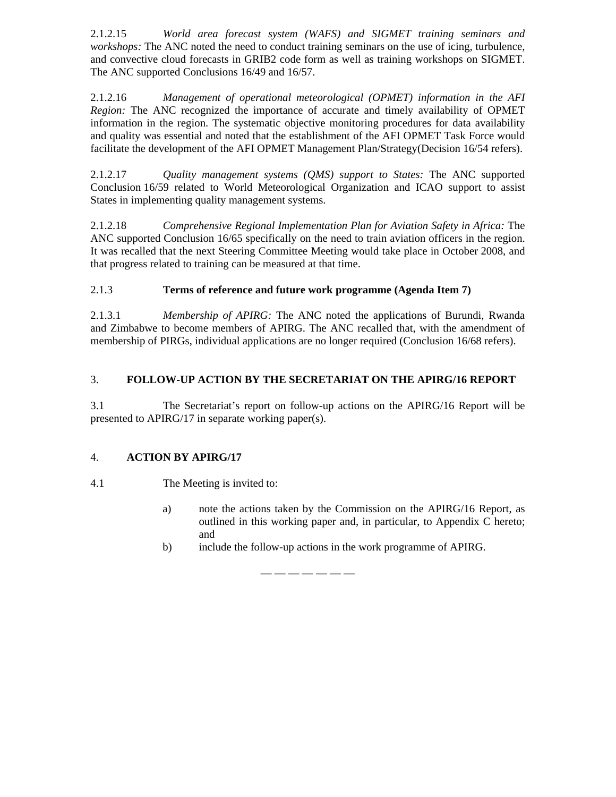2.1.2.15 *World area forecast system (WAFS) and SIGMET training seminars and workshops:* The ANC noted the need to conduct training seminars on the use of icing, turbulence, and convective cloud forecasts in GRIB2 code form as well as training workshops on SIGMET. The ANC supported Conclusions 16/49 and 16/57.

2.1.2.16 *Management of operational meteorological (OPMET) information in the AFI Region:* The ANC recognized the importance of accurate and timely availability of OPMET information in the region. The systematic objective monitoring procedures for data availability and quality was essential and noted that the establishment of the AFI OPMET Task Force would facilitate the development of the AFI OPMET Management Plan/Strategy(Decision 16/54 refers).

2.1.2.17 *Quality management systems (QMS) support to States:* The ANC supported Conclusion 16/59 related to World Meteorological Organization and ICAO support to assist States in implementing quality management systems.

2.1.2.18 *Comprehensive Regional Implementation Plan for Aviation Safety in Africa:* The ANC supported Conclusion 16/65 specifically on the need to train aviation officers in the region. It was recalled that the next Steering Committee Meeting would take place in October 2008, and that progress related to training can be measured at that time.

# 2.1.3 **Terms of reference and future work programme (Agenda Item 7)**

2.1.3.1 *Membership of APIRG:* The ANC noted the applications of Burundi, Rwanda and Zimbabwe to become members of APIRG. The ANC recalled that, with the amendment of membership of PIRGs, individual applications are no longer required (Conclusion 16/68 refers).

# 3. **FOLLOW-UP ACTION BY THE SECRETARIAT ON THE APIRG/16 REPORT**

3.1 The Secretariat's report on follow-up actions on the APIRG/16 Report will be presented to APIRG/17 in separate working paper(s).

## 4. **ACTION BY APIRG/17**

## 4.1 The Meeting is invited to:

- a) note the actions taken by the Commission on the APIRG/16 Report, as outlined in this working paper and, in particular, to Appendix C hereto; and
- b) include the follow-up actions in the work programme of APIRG.

— — — — — — —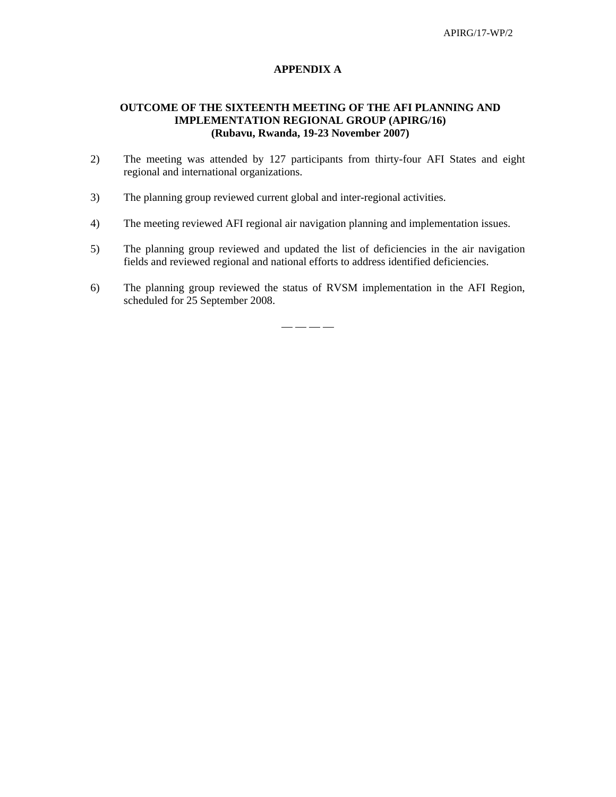## **APPENDIX A**

## **OUTCOME OF THE SIXTEENTH MEETING OF THE AFI PLANNING AND IMPLEMENTATION REGIONAL GROUP (APIRG/16) (Rubavu, Rwanda, 19-23 November 2007)**

- 2) The meeting was attended by 127 participants from thirty-four AFI States and eight regional and international organizations.
- 3) The planning group reviewed current global and inter-regional activities.
- 4) The meeting reviewed AFI regional air navigation planning and implementation issues.
- 5) The planning group reviewed and updated the list of deficiencies in the air navigation fields and reviewed regional and national efforts to address identified deficiencies.
- 6) The planning group reviewed the status of RVSM implementation in the AFI Region, scheduled for 25 September 2008.

 $-$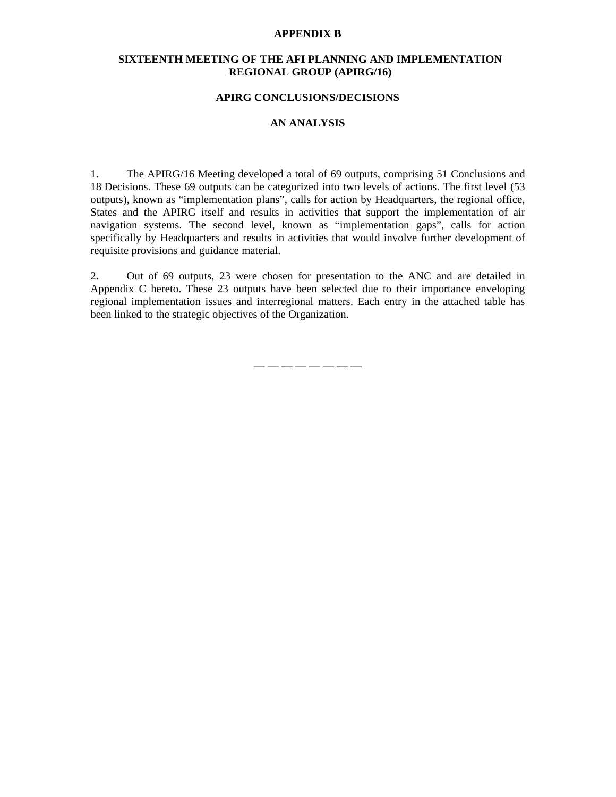#### **APPENDIX B**

#### **SIXTEENTH MEETING OF THE AFI PLANNING AND IMPLEMENTATION REGIONAL GROUP (APIRG/16)**

#### **APIRG CONCLUSIONS/DECISIONS**

## **AN ANALYSIS**

1. The APIRG/16 Meeting developed a total of 69 outputs, comprising 51 Conclusions and 18 Decisions. These 69 outputs can be categorized into two levels of actions. The first level (53 outputs), known as "implementation plans", calls for action by Headquarters, the regional office, States and the APIRG itself and results in activities that support the implementation of air navigation systems. The second level, known as "implementation gaps", calls for action specifically by Headquarters and results in activities that would involve further development of requisite provisions and guidance material.

2. Out of 69 outputs, 23 were chosen for presentation to the ANC and are detailed in Appendix C hereto. These 23 outputs have been selected due to their importance enveloping regional implementation issues and interregional matters. Each entry in the attached table has been linked to the strategic objectives of the Organization.

 $\longrightarrow$  —  $\longrightarrow$  —  $\longrightarrow$  —  $\longrightarrow$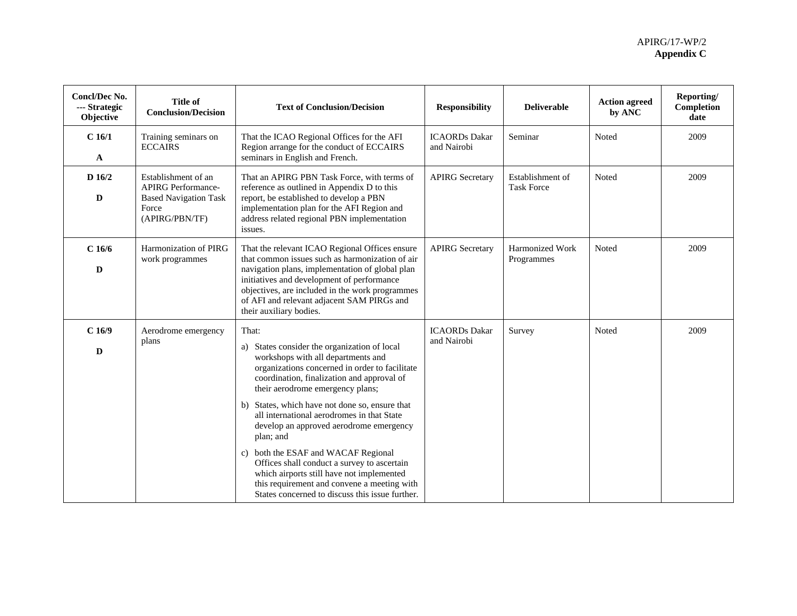| <b>Concl/Dec No.</b><br>--- Strategic<br>Objective | <b>Title of</b><br><b>Conclusion/Decision</b>                                                               | <b>Text of Conclusion/Decision</b>                                                                                                                                                                                                                                                                                                                                                                                                                                                                                                                                                                                              | <b>Responsibility</b>               | <b>Deliverable</b>                    | <b>Action agreed</b><br>by ANC | Reporting/<br>Completion<br>date |
|----------------------------------------------------|-------------------------------------------------------------------------------------------------------------|---------------------------------------------------------------------------------------------------------------------------------------------------------------------------------------------------------------------------------------------------------------------------------------------------------------------------------------------------------------------------------------------------------------------------------------------------------------------------------------------------------------------------------------------------------------------------------------------------------------------------------|-------------------------------------|---------------------------------------|--------------------------------|----------------------------------|
| C 16/1<br>A                                        | Training seminars on<br><b>ECCAIRS</b>                                                                      | That the ICAO Regional Offices for the AFI<br>Region arrange for the conduct of ECCAIRS<br>seminars in English and French.                                                                                                                                                                                                                                                                                                                                                                                                                                                                                                      | <b>ICAORDs</b> Dakar<br>and Nairobi | Seminar                               | Noted                          | 2009                             |
| D 16/2<br>D                                        | Establishment of an<br><b>APIRG Performance-</b><br><b>Based Navigation Task</b><br>Force<br>(APIRG/PBN/TF) | That an APIRG PBN Task Force, with terms of<br>reference as outlined in Appendix D to this<br>report, be established to develop a PBN<br>implementation plan for the AFI Region and<br>address related regional PBN implementation<br>issues.                                                                                                                                                                                                                                                                                                                                                                                   | <b>APIRG</b> Secretary              | Establishment of<br><b>Task Force</b> | Noted                          | 2009                             |
| $C$ 16/6<br>D                                      | Harmonization of PIRG<br>work programmes                                                                    | That the relevant ICAO Regional Offices ensure<br>that common issues such as harmonization of air<br>navigation plans, implementation of global plan<br>initiatives and development of performance<br>objectives, are included in the work programmes<br>of AFI and relevant adjacent SAM PIRGs and<br>their auxiliary bodies.                                                                                                                                                                                                                                                                                                  | <b>APIRG Secretary</b>              | Harmonized Work<br>Programmes         | Noted                          | 2009                             |
| $C$ 16/9<br>D                                      | Aerodrome emergency<br>plans                                                                                | That:<br>States consider the organization of local<br>a)<br>workshops with all departments and<br>organizations concerned in order to facilitate<br>coordination, finalization and approval of<br>their aerodrome emergency plans;<br>b) States, which have not done so, ensure that<br>all international aerodromes in that State<br>develop an approved aerodrome emergency<br>plan; and<br>c) both the ESAF and WACAF Regional<br>Offices shall conduct a survey to ascertain<br>which airports still have not implemented<br>this requirement and convene a meeting with<br>States concerned to discuss this issue further. | <b>ICAORDs</b> Dakar<br>and Nairobi | Survey                                | Noted                          | 2009                             |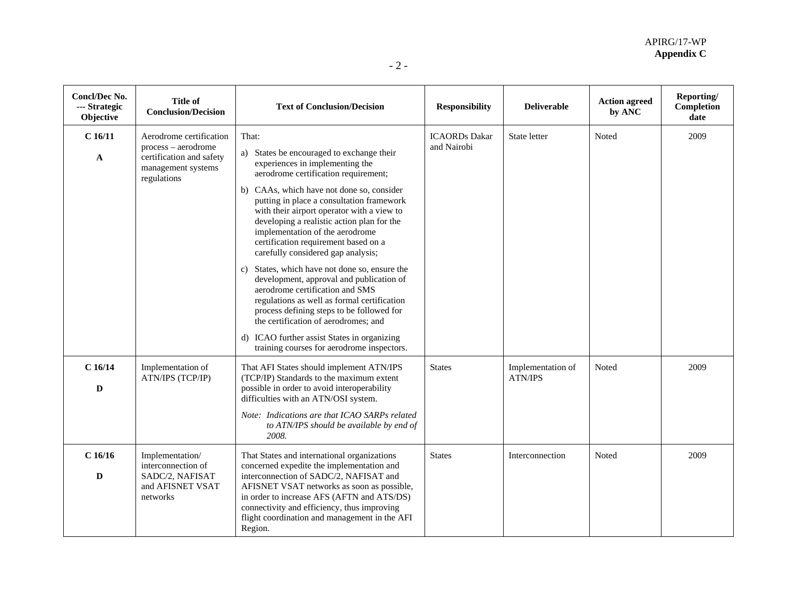| × |  |  |
|---|--|--|
|---|--|--|

| Concl/Dec No.<br>--- Strategic<br>Objective | <b>Title of</b><br><b>Conclusion/Decision</b>                                                                   | <b>Text of Conclusion/Decision</b>                                                                                                                                                                                                                                                                                                                                                                                                                                                                                                                                                                                                                                                                                                                                                                       | <b>Responsibility</b>               | <b>Deliverable</b>                  | <b>Action agreed</b><br>by ANC | Reporting/<br>Completion<br>date |
|---------------------------------------------|-----------------------------------------------------------------------------------------------------------------|----------------------------------------------------------------------------------------------------------------------------------------------------------------------------------------------------------------------------------------------------------------------------------------------------------------------------------------------------------------------------------------------------------------------------------------------------------------------------------------------------------------------------------------------------------------------------------------------------------------------------------------------------------------------------------------------------------------------------------------------------------------------------------------------------------|-------------------------------------|-------------------------------------|--------------------------------|----------------------------------|
| C16/11<br>A                                 | Aerodrome certification<br>process – aerodrome<br>certification and safety<br>management systems<br>regulations | That:<br>a) States be encouraged to exchange their<br>experiences in implementing the<br>aerodrome certification requirement;<br>b) CAAs, which have not done so, consider<br>putting in place a consultation framework<br>with their airport operator with a view to<br>developing a realistic action plan for the<br>implementation of the aerodrome<br>certification requirement based on a<br>carefully considered gap analysis;<br>States, which have not done so, ensure the<br>C)<br>development, approval and publication of<br>aerodrome certification and SMS<br>regulations as well as formal certification<br>process defining steps to be followed for<br>the certification of aerodromes; and<br>d) ICAO further assist States in organizing<br>training courses for aerodrome inspectors. | <b>ICAORDs</b> Dakar<br>and Nairobi | State letter                        | Noted                          | 2009                             |
| $C$ 16/14<br>$\mathbf D$                    | Implementation of<br>ATN/IPS (TCP/IP)                                                                           | That AFI States should implement ATN/IPS<br>(TCP/IP) Standards to the maximum extent<br>possible in order to avoid interoperability<br>difficulties with an ATN/OSI system.<br>Note: Indications are that ICAO SARPs related<br>to ATN/IPS should be available by end of<br>2008.                                                                                                                                                                                                                                                                                                                                                                                                                                                                                                                        | <b>States</b>                       | Implementation of<br><b>ATN/IPS</b> | Noted                          | 2009                             |
| $C$ 16/16<br>D                              | Implementation/<br>interconnection of<br>SADC/2, NAFISAT<br>and AFISNET VSAT<br>networks                        | That States and international organizations<br>concerned expedite the implementation and<br>interconnection of SADC/2, NAFISAT and<br>AFISNET VSAT networks as soon as possible,<br>in order to increase AFS (AFTN and ATS/DS)<br>connectivity and efficiency, thus improving<br>flight coordination and management in the AFI<br>Region.                                                                                                                                                                                                                                                                                                                                                                                                                                                                | <b>States</b>                       | Interconnection                     | Noted                          | 2009                             |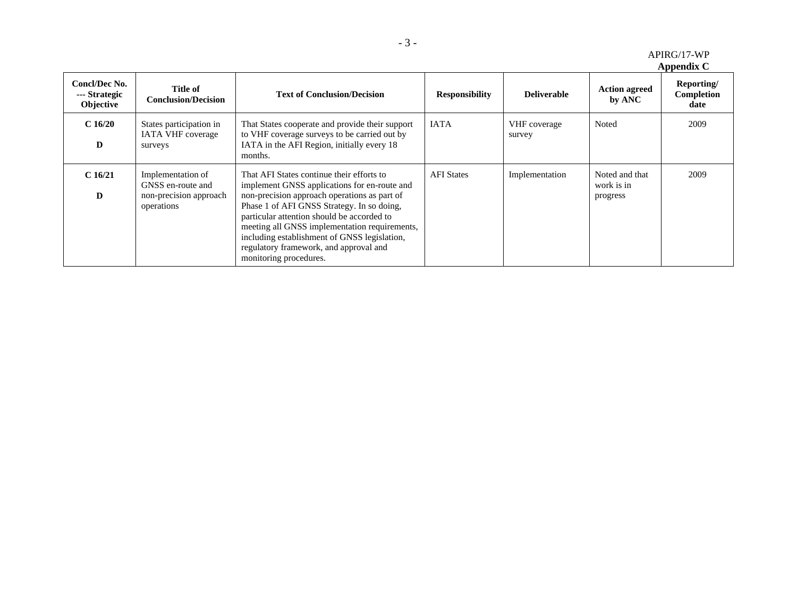| APIRG/17-WP |  |
|-------------|--|
|-------------|--|

**Appendix C** 

| Concl/Dec No.<br>--- Strategic<br>Objective | Title of<br><b>Conclusion/Decision</b>                                         | <b>Text of Conclusion/Decision</b>                                                                                                                                                                                                                                                                                                                                                                         | <b>Responsibility</b> | <b>Deliverable</b>     | <b>Action agreed</b><br>by ANC           | Reporting/<br>Completion<br>date |
|---------------------------------------------|--------------------------------------------------------------------------------|------------------------------------------------------------------------------------------------------------------------------------------------------------------------------------------------------------------------------------------------------------------------------------------------------------------------------------------------------------------------------------------------------------|-----------------------|------------------------|------------------------------------------|----------------------------------|
| C16/20<br>D                                 | States participation in<br><b>IATA VHF</b> coverage<br>surveys                 | That States cooperate and provide their support<br>to VHF coverage surveys to be carried out by<br>IATA in the AFI Region, initially every 18<br>months.                                                                                                                                                                                                                                                   | <b>IATA</b>           | VHF coverage<br>survey | Noted                                    | 2009                             |
| C16/21<br>D                                 | Implementation of<br>GNSS en-route and<br>non-precision approach<br>operations | That AFI States continue their efforts to<br>implement GNSS applications for en-route and<br>non-precision approach operations as part of<br>Phase 1 of AFI GNSS Strategy. In so doing,<br>particular attention should be accorded to<br>meeting all GNSS implementation requirements,<br>including establishment of GNSS legislation,<br>regulatory framework, and approval and<br>monitoring procedures. | <b>AFI</b> States     | Implementation         | Noted and that<br>work is in<br>progress | 2009                             |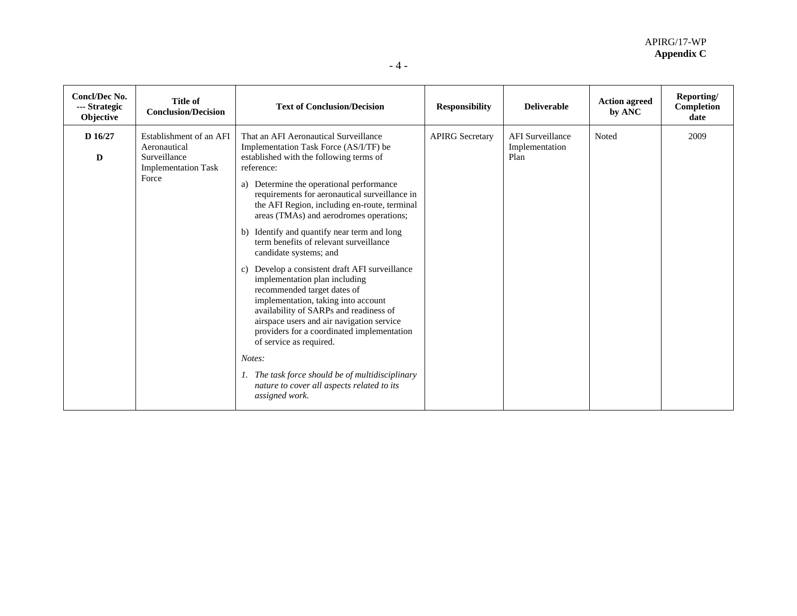| <b>Concl/Dec No.</b><br>--- Strategic<br>Objective | <b>Title of</b><br><b>Conclusion/Decision</b>                                                  | <b>Text of Conclusion/Decision</b>                                                                                                                                                                                                                                                                                                                                                                                                                                                                                                                                                                                                                                                                                                                                                                                                                                                                            | <b>Responsibility</b>  | <b>Deliverable</b>                                | <b>Action agreed</b><br>by ANC | Reporting/<br>Completion<br>date |
|----------------------------------------------------|------------------------------------------------------------------------------------------------|---------------------------------------------------------------------------------------------------------------------------------------------------------------------------------------------------------------------------------------------------------------------------------------------------------------------------------------------------------------------------------------------------------------------------------------------------------------------------------------------------------------------------------------------------------------------------------------------------------------------------------------------------------------------------------------------------------------------------------------------------------------------------------------------------------------------------------------------------------------------------------------------------------------|------------------------|---------------------------------------------------|--------------------------------|----------------------------------|
| D 16/27<br>D                                       | Establishment of an AFI<br>Aeronautical<br>Surveillance<br><b>Implementation Task</b><br>Force | That an AFI Aeronautical Surveillance<br>Implementation Task Force (AS/I/TF) be<br>established with the following terms of<br>reference:<br>a) Determine the operational performance<br>requirements for aeronautical surveillance in<br>the AFI Region, including en-route, terminal<br>areas (TMAs) and aerodromes operations;<br>b) Identify and quantify near term and long<br>term benefits of relevant surveillance<br>candidate systems; and<br>Develop a consistent draft AFI surveillance<br>c)<br>implementation plan including<br>recommended target dates of<br>implementation, taking into account<br>availability of SARPs and readiness of<br>airspace users and air navigation service<br>providers for a coordinated implementation<br>of service as required.<br>Notes:<br>1. The task force should be of multidisciplinary<br>nature to cover all aspects related to its<br>assigned work. | <b>APIRG</b> Secretary | <b>AFI</b> Surveillance<br>Implementation<br>Plan | Noted                          | 2009                             |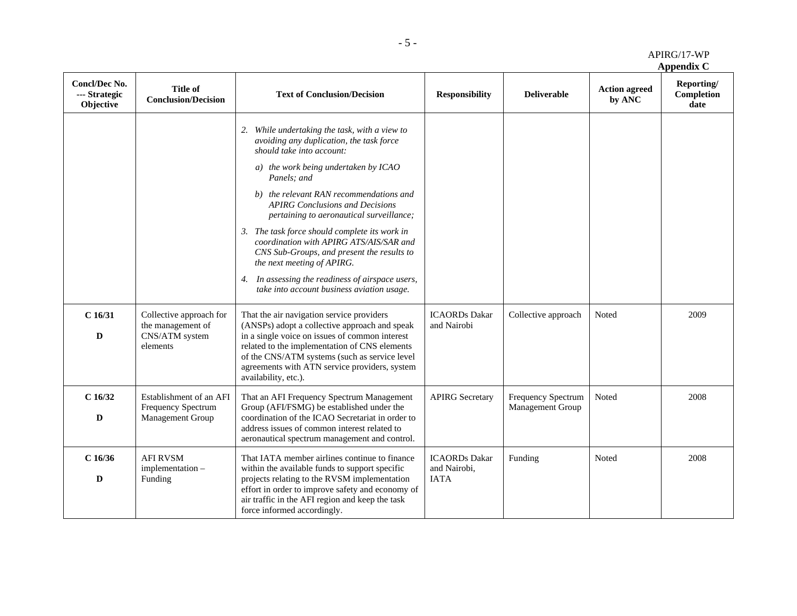| APIRG/17-WP |
|-------------|
|             |

**Appendix C** 

| <b>Concl/Dec No.</b><br>--- Strategic<br>Objective | <b>Title of</b><br><b>Conclusion/Decision</b>                              | <b>Text of Conclusion/Decision</b>                                                                                                                                                                                                                                                                                                                                                                                                                                                                                                                                                       | <b>Responsibility</b>                               | <b>Deliverable</b>                     | <b>Action agreed</b><br>by ANC | Reporting/<br>Completion<br>date |
|----------------------------------------------------|----------------------------------------------------------------------------|------------------------------------------------------------------------------------------------------------------------------------------------------------------------------------------------------------------------------------------------------------------------------------------------------------------------------------------------------------------------------------------------------------------------------------------------------------------------------------------------------------------------------------------------------------------------------------------|-----------------------------------------------------|----------------------------------------|--------------------------------|----------------------------------|
|                                                    |                                                                            | 2. While undertaking the task, with a view to<br>avoiding any duplication, the task force<br>should take into account:<br>a) the work being undertaken by ICAO<br>Panels; and<br>b) the relevant RAN recommendations and<br><b>APIRG Conclusions and Decisions</b><br>pertaining to aeronautical surveillance;<br>3. The task force should complete its work in<br>coordination with APIRG ATS/AIS/SAR and<br>CNS Sub-Groups, and present the results to<br>the next meeting of APIRG.<br>4. In assessing the readiness of airspace users,<br>take into account business aviation usage. |                                                     |                                        |                                |                                  |
| $C$ 16/31<br>D                                     | Collective approach for<br>the management of<br>CNS/ATM system<br>elements | That the air navigation service providers<br>(ANSPs) adopt a collective approach and speak<br>in a single voice on issues of common interest<br>related to the implementation of CNS elements<br>of the CNS/ATM systems (such as service level<br>agreements with ATN service providers, system<br>availability, etc.).                                                                                                                                                                                                                                                                  | <b>ICAORDs</b> Dakar<br>and Nairobi                 | Collective approach                    | Noted                          | 2009                             |
| $C$ 16/32<br>D                                     | Establishment of an AFI<br>Frequency Spectrum<br><b>Management Group</b>   | That an AFI Frequency Spectrum Management<br>Group (AFI/FSMG) be established under the<br>coordination of the ICAO Secretariat in order to<br>address issues of common interest related to<br>aeronautical spectrum management and control.                                                                                                                                                                                                                                                                                                                                              | <b>APIRG</b> Secretary                              | Frequency Spectrum<br>Management Group | Noted                          | 2008                             |
| $C$ 16/36<br>D                                     | <b>AFI RVSM</b><br>implementation -<br>Funding                             | That IATA member airlines continue to finance<br>within the available funds to support specific<br>projects relating to the RVSM implementation<br>effort in order to improve safety and economy of<br>air traffic in the AFI region and keep the task<br>force informed accordingly.                                                                                                                                                                                                                                                                                                    | <b>ICAORDs</b> Dakar<br>and Nairobi,<br><b>IATA</b> | Funding                                | Noted                          | 2008                             |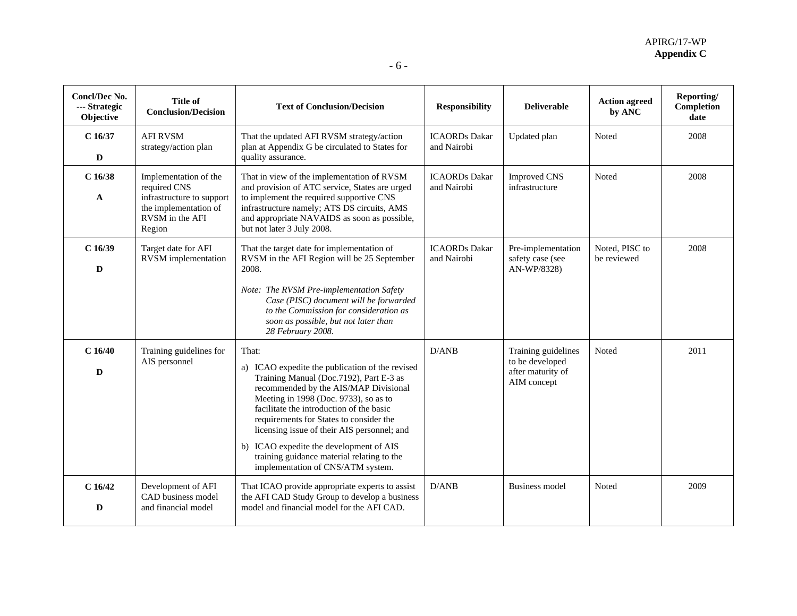| <b>Concl/Dec No.</b><br>--- Strategic<br>Objective | <b>Title of</b><br><b>Conclusion/Decision</b>                                                                            | <b>Text of Conclusion/Decision</b>                                                                                                                                                                                                                                                                                                                                                                                                                        | <b>Responsibility</b>               | <b>Deliverable</b>                                                         | <b>Action agreed</b><br>by ANC | Reporting/<br>Completion<br>date |
|----------------------------------------------------|--------------------------------------------------------------------------------------------------------------------------|-----------------------------------------------------------------------------------------------------------------------------------------------------------------------------------------------------------------------------------------------------------------------------------------------------------------------------------------------------------------------------------------------------------------------------------------------------------|-------------------------------------|----------------------------------------------------------------------------|--------------------------------|----------------------------------|
| $C$ 16/37<br>D                                     | <b>AFI RVSM</b><br>strategy/action plan                                                                                  | That the updated AFI RVSM strategy/action<br>plan at Appendix G be circulated to States for<br>quality assurance.                                                                                                                                                                                                                                                                                                                                         | <b>ICAORDs</b> Dakar<br>and Nairobi | Updated plan                                                               | Noted                          | 2008                             |
| $C$ 16/38<br>A                                     | Implementation of the<br>required CNS<br>infrastructure to support<br>the implementation of<br>RVSM in the AFI<br>Region | That in view of the implementation of RVSM<br>and provision of ATC service, States are urged<br>to implement the required supportive CNS<br>infrastructure namely; ATS DS circuits, AMS<br>and appropriate NAVAIDS as soon as possible,<br>but not later 3 July 2008.                                                                                                                                                                                     | <b>ICAORDs</b> Dakar<br>and Nairobi | <b>Improved CNS</b><br>infrastructure                                      | Noted                          | 2008                             |
| $C$ 16/39<br>D                                     | Target date for AFI<br><b>RVSM</b> implementation                                                                        | That the target date for implementation of<br>RVSM in the AFI Region will be 25 September<br>2008.<br>Note: The RVSM Pre-implementation Safety<br>Case (PISC) document will be forwarded<br>to the Commission for consideration as<br>soon as possible, but not later than<br>28 February 2008.                                                                                                                                                           | <b>ICAORDs</b> Dakar<br>and Nairobi | Pre-implementation<br>safety case (see<br>AN-WP/8328)                      | Noted, PISC to<br>be reviewed  | 2008                             |
| $C$ 16/40<br>D                                     | Training guidelines for<br>AIS personnel                                                                                 | That:<br>a) ICAO expedite the publication of the revised<br>Training Manual (Doc.7192), Part E-3 as<br>recommended by the AIS/MAP Divisional<br>Meeting in 1998 (Doc. 9733), so as to<br>facilitate the introduction of the basic<br>requirements for States to consider the<br>licensing issue of their AIS personnel; and<br>b) ICAO expedite the development of AIS<br>training guidance material relating to the<br>implementation of CNS/ATM system. | D/AND                               | Training guidelines<br>to be developed<br>after maturity of<br>AIM concept | Noted                          | 2011                             |
| $C$ 16/42<br>D                                     | Development of AFI<br>CAD business model<br>and financial model                                                          | That ICAO provide appropriate experts to assist<br>the AFI CAD Study Group to develop a business<br>model and financial model for the AFI CAD.                                                                                                                                                                                                                                                                                                            | D/AND                               | <b>Business model</b>                                                      | Noted                          | 2009                             |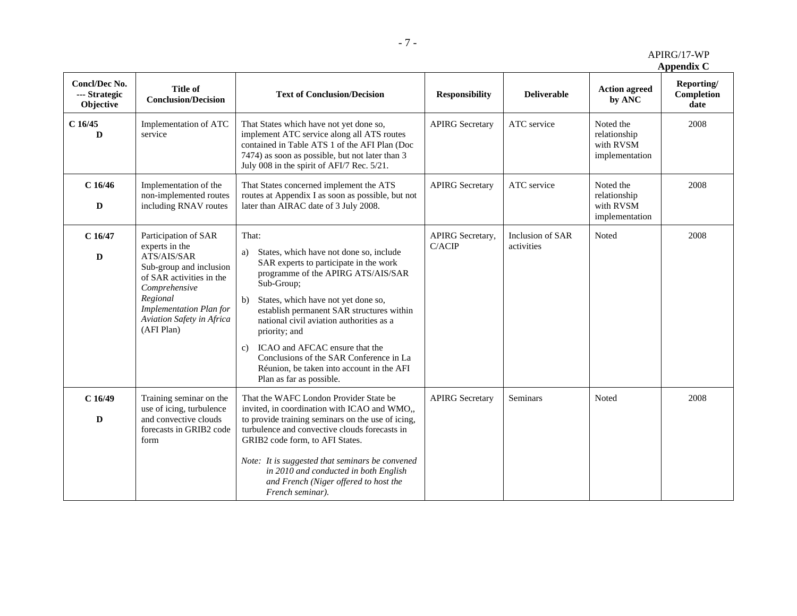APIRG/17-WP

**Appendix C** 

| Concl/Dec No.<br>--- Strategic<br>Objective | <b>Title of</b><br><b>Conclusion/Decision</b>                                                                                                                                                                          | <b>Text of Conclusion/Decision</b>                                                                                                                                                                                                                                                                                                                                                                                                                                      | <b>Responsibility</b>      | <b>Deliverable</b>             | <b>Action agreed</b><br>by ANC                           | Reporting/<br>Completion<br>date |
|---------------------------------------------|------------------------------------------------------------------------------------------------------------------------------------------------------------------------------------------------------------------------|-------------------------------------------------------------------------------------------------------------------------------------------------------------------------------------------------------------------------------------------------------------------------------------------------------------------------------------------------------------------------------------------------------------------------------------------------------------------------|----------------------------|--------------------------------|----------------------------------------------------------|----------------------------------|
| $C$ 16/45<br>D                              | Implementation of ATC<br>service                                                                                                                                                                                       | That States which have not yet done so,<br>implement ATC service along all ATS routes<br>contained in Table ATS 1 of the AFI Plan (Doc<br>7474) as soon as possible, but not later than 3<br>July 008 in the spirit of AFI/7 Rec. 5/21.                                                                                                                                                                                                                                 | <b>APIRG Secretary</b>     | ATC service                    | Noted the<br>relationship<br>with RVSM<br>implementation | 2008                             |
| $C$ 16/46<br>D                              | Implementation of the<br>non-implemented routes<br>including RNAV routes                                                                                                                                               | That States concerned implement the ATS<br>routes at Appendix I as soon as possible, but not<br>later than AIRAC date of 3 July 2008.                                                                                                                                                                                                                                                                                                                                   | <b>APIRG</b> Secretary     | ATC service                    | Noted the<br>relationship<br>with RVSM<br>implementation | 2008                             |
| $C$ 16/47<br>D                              | Participation of SAR<br>experts in the<br>ATS/AIS/SAR<br>Sub-group and inclusion<br>of SAR activities in the<br>Comprehensive<br>Regional<br><b>Implementation Plan for</b><br>Aviation Safety in Africa<br>(AFI Plan) | That:<br>States, which have not done so, include<br>a)<br>SAR experts to participate in the work<br>programme of the APIRG ATS/AIS/SAR<br>Sub-Group;<br>States, which have not yet done so,<br>b)<br>establish permanent SAR structures within<br>national civil aviation authorities as a<br>priority; and<br>ICAO and AFCAC ensure that the<br>c)<br>Conclusions of the SAR Conference in La<br>Réunion, be taken into account in the AFI<br>Plan as far as possible. | APIRG Secretary,<br>C/ACIP | Inclusion of SAR<br>activities | Noted                                                    | 2008                             |
| C16/49<br>$\mathbf D$                       | Training seminar on the<br>use of icing, turbulence<br>and convective clouds<br>forecasts in GRIB2 code<br>form                                                                                                        | That the WAFC London Provider State be<br>invited, in coordination with ICAO and WMO,,<br>to provide training seminars on the use of icing,<br>turbulence and convective clouds forecasts in<br>GRIB2 code form, to AFI States.<br>Note: It is suggested that seminars be convened<br>in 2010 and conducted in both English<br>and French (Niger offered to host the<br>French seminar).                                                                                | <b>APIRG Secretary</b>     | Seminars                       | Noted                                                    | 2008                             |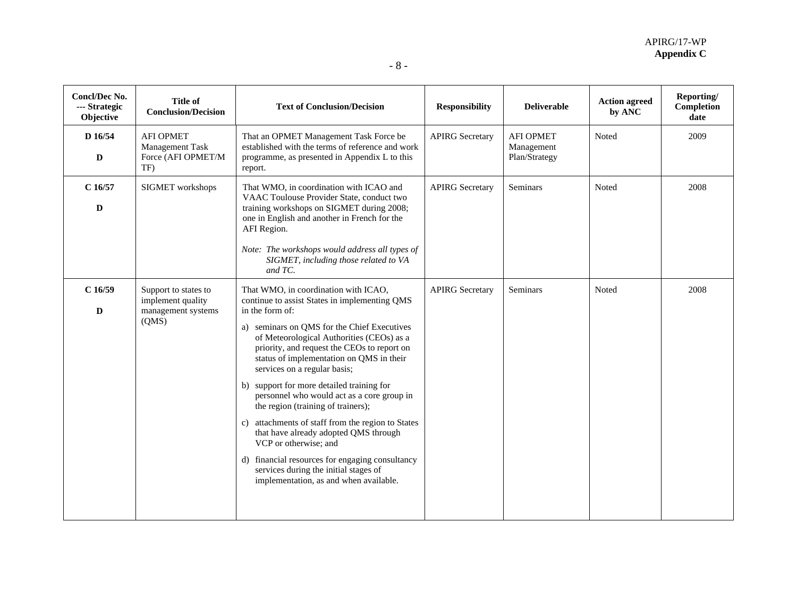| Concl/Dec No.<br>--- Strategic<br>Objective | <b>Title of</b><br><b>Conclusion/Decision</b>                            | <b>Text of Conclusion/Decision</b>                                                                                                                                                                                                                                                                                                                                                                                                                                                                                                                                                                                                                                                                                            | <b>Responsibility</b>  | <b>Deliverable</b>                              | <b>Action agreed</b><br>by ANC | Reporting/<br>Completion<br>date |
|---------------------------------------------|--------------------------------------------------------------------------|-------------------------------------------------------------------------------------------------------------------------------------------------------------------------------------------------------------------------------------------------------------------------------------------------------------------------------------------------------------------------------------------------------------------------------------------------------------------------------------------------------------------------------------------------------------------------------------------------------------------------------------------------------------------------------------------------------------------------------|------------------------|-------------------------------------------------|--------------------------------|----------------------------------|
| D 16/54<br>D                                | <b>AFI OPMET</b><br>Management Task<br>Force (AFI OPMET/M<br>TF)         | That an OPMET Management Task Force be<br>established with the terms of reference and work<br>programme, as presented in Appendix L to this<br>report.                                                                                                                                                                                                                                                                                                                                                                                                                                                                                                                                                                        | <b>APIRG Secretary</b> | <b>AFI OPMET</b><br>Management<br>Plan/Strategy | Noted                          | 2009                             |
| $C$ 16/57<br>$\mathbf D$                    | SIGMET workshops                                                         | That WMO, in coordination with ICAO and<br>VAAC Toulouse Provider State, conduct two<br>training workshops on SIGMET during 2008;<br>one in English and another in French for the<br>AFI Region.<br>Note: The workshops would address all types of<br>SIGMET, including those related to VA<br>and TC.                                                                                                                                                                                                                                                                                                                                                                                                                        | <b>APIRG Secretary</b> | Seminars                                        | Noted                          | 2008                             |
| C16/59<br>D                                 | Support to states to<br>implement quality<br>management systems<br>(QMS) | That WMO, in coordination with ICAO,<br>continue to assist States in implementing QMS<br>in the form of:<br>a) seminars on QMS for the Chief Executives<br>of Meteorological Authorities (CEOs) as a<br>priority, and request the CEOs to report on<br>status of implementation on QMS in their<br>services on a regular basis;<br>b) support for more detailed training for<br>personnel who would act as a core group in<br>the region (training of trainers);<br>c) attachments of staff from the region to States<br>that have already adopted QMS through<br>VCP or otherwise; and<br>d) financial resources for engaging consultancy<br>services during the initial stages of<br>implementation, as and when available. | <b>APIRG Secretary</b> | Seminars                                        | Noted                          | 2008                             |